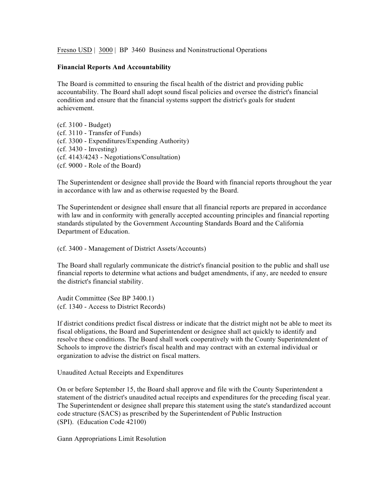Fresno USD | 3000 | BP 3460 Business and Noninstructional Operations

#### **Financial Reports And Accountability**

The Board is committed to ensuring the fiscal health of the district and providing public accountability. The Board shall adopt sound fiscal policies and oversee the district's financial condition and ensure that the financial systems support the district's goals for student achievement.

(cf. 3100 - Budget) (cf. 3110 - Transfer of Funds) (cf. 3300 - Expenditures/Expending Authority) (cf. 3430 - Investing) (cf. 4143/4243 - Negotiations/Consultation) (cf. 9000 - Role of the Board)

The Superintendent or designee shall provide the Board with financial reports throughout the year in accordance with law and as otherwise requested by the Board.

The Superintendent or designee shall ensure that all financial reports are prepared in accordance with law and in conformity with generally accepted accounting principles and financial reporting standards stipulated by the Government Accounting Standards Board and the California Department of Education.

(cf. 3400 - Management of District Assets/Accounts)

The Board shall regularly communicate the district's financial position to the public and shall use financial reports to determine what actions and budget amendments, if any, are needed to ensure the district's financial stability.

Audit Committee (See BP 3400.1) (cf. 1340 - Access to District Records)

If district conditions predict fiscal distress or indicate that the district might not be able to meet its fiscal obligations, the Board and Superintendent or designee shall act quickly to identify and resolve these conditions. The Board shall work cooperatively with the County Superintendent of Schools to improve the district's fiscal health and may contract with an external individual or organization to advise the district on fiscal matters.

Unaudited Actual Receipts and Expenditures

On or before September 15, the Board shall approve and file with the County Superintendent a statement of the district's unaudited actual receipts and expenditures for the preceding fiscal year. The Superintendent or designee shall prepare this statement using the state's standardized account code structure (SACS) as prescribed by the Superintendent of Public Instruction (SPI). (Education Code 42100)

Gann Appropriations Limit Resolution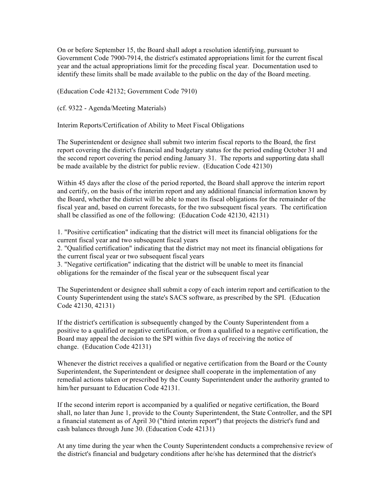On or before September 15, the Board shall adopt a resolution identifying, pursuant to Government Code 7900-7914, the district's estimated appropriations limit for the current fiscal year and the actual appropriations limit for the preceding fiscal year. Documentation used to identify these limits shall be made available to the public on the day of the Board meeting.

(Education Code 42132; Government Code 7910)

(cf. 9322 - Agenda/Meeting Materials)

Interim Reports/Certification of Ability to Meet Fiscal Obligations

The Superintendent or designee shall submit two interim fiscal reports to the Board, the first report covering the district's financial and budgetary status for the period ending October 31 and the second report covering the period ending January 31. The reports and supporting data shall be made available by the district for public review. (Education Code 42130)

Within 45 days after the close of the period reported, the Board shall approve the interim report and certify, on the basis of the interim report and any additional financial information known by the Board, whether the district will be able to meet its fiscal obligations for the remainder of the fiscal year and, based on current forecasts, for the two subsequent fiscal years. The certification shall be classified as one of the following: (Education Code 42130, 42131)

1. "Positive certification" indicating that the district will meet its financial obligations for the current fiscal year and two subsequent fiscal years

2. "Qualified certification" indicating that the district may not meet its financial obligations for the current fiscal year or two subsequent fiscal years

3. "Negative certification" indicating that the district will be unable to meet its financial obligations for the remainder of the fiscal year or the subsequent fiscal year

The Superintendent or designee shall submit a copy of each interim report and certification to the County Superintendent using the state's SACS software, as prescribed by the SPI. (Education Code 42130, 42131)

If the district's certification is subsequently changed by the County Superintendent from a positive to a qualified or negative certification, or from a qualified to a negative certification, the Board may appeal the decision to the SPI within five days of receiving the notice of change. (Education Code 42131)

Whenever the district receives a qualified or negative certification from the Board or the County Superintendent, the Superintendent or designee shall cooperate in the implementation of any remedial actions taken or prescribed by the County Superintendent under the authority granted to him/her pursuant to Education Code 42131.

If the second interim report is accompanied by a qualified or negative certification, the Board shall, no later than June 1, provide to the County Superintendent, the State Controller, and the SPI a financial statement as of April 30 ("third interim report") that projects the district's fund and cash balances through June 30. (Education Code 42131)

At any time during the year when the County Superintendent conducts a comprehensive review of the district's financial and budgetary conditions after he/she has determined that the district's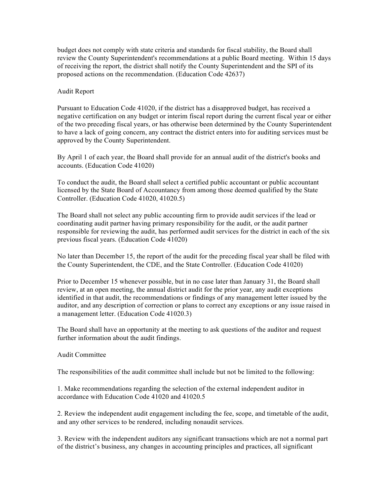budget does not comply with state criteria and standards for fiscal stability, the Board shall review the County Superintendent's recommendations at a public Board meeting. Within 15 days of receiving the report, the district shall notify the County Superintendent and the SPI of its proposed actions on the recommendation. (Education Code 42637)

#### Audit Report

Pursuant to Education Code 41020, if the district has a disapproved budget, has received a negative certification on any budget or interim fiscal report during the current fiscal year or either of the two preceding fiscal years, or has otherwise been determined by the County Superintendent to have a lack of going concern, any contract the district enters into for auditing services must be approved by the County Superintendent.

By April 1 of each year, the Board shall provide for an annual audit of the district's books and accounts. (Education Code 41020)

To conduct the audit, the Board shall select a certified public accountant or public accountant licensed by the State Board of Accountancy from among those deemed qualified by the State Controller. (Education Code 41020, 41020.5)

The Board shall not select any public accounting firm to provide audit services if the lead or coordinating audit partner having primary responsibility for the audit, or the audit partner responsible for reviewing the audit, has performed audit services for the district in each of the six previous fiscal years. (Education Code 41020)

No later than December 15, the report of the audit for the preceding fiscal year shall be filed with the County Superintendent, the CDE, and the State Controller. (Education Code 41020)

Prior to December 15 whenever possible, but in no case later than January 31, the Board shall review, at an open meeting, the annual district audit for the prior year, any audit exceptions identified in that audit, the recommendations or findings of any management letter issued by the auditor, and any description of correction or plans to correct any exceptions or any issue raised in a management letter. (Education Code 41020.3)

The Board shall have an opportunity at the meeting to ask questions of the auditor and request further information about the audit findings.

#### Audit Committee

The responsibilities of the audit committee shall include but not be limited to the following:

1. Make recommendations regarding the selection of the external independent auditor in accordance with Education Code 41020 and 41020.5

2. Review the independent audit engagement including the fee, scope, and timetable of the audit, and any other services to be rendered, including nonaudit services.

3. Review with the independent auditors any significant transactions which are not a normal part of the district's business, any changes in accounting principles and practices, all significant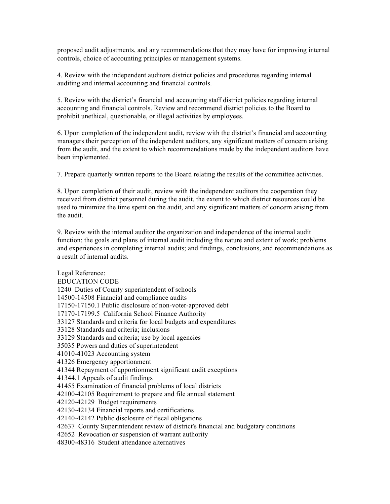proposed audit adjustments, and any recommendations that they may have for improving internal controls, choice of accounting principles or management systems.

4. Review with the independent auditors district policies and procedures regarding internal auditing and internal accounting and financial controls.

5. Review with the district's financial and accounting staff district policies regarding internal accounting and financial controls. Review and recommend district policies to the Board to prohibit unethical, questionable, or illegal activities by employees.

6. Upon completion of the independent audit, review with the district's financial and accounting managers their perception of the independent auditors, any significant matters of concern arising from the audit, and the extent to which recommendations made by the independent auditors have been implemented.

7. Prepare quarterly written reports to the Board relating the results of the committee activities.

8. Upon completion of their audit, review with the independent auditors the cooperation they received from district personnel during the audit, the extent to which district resources could be used to minimize the time spent on the audit, and any significant matters of concern arising from the audit.

9. Review with the internal auditor the organization and independence of the internal audit function; the goals and plans of internal audit including the nature and extent of work; problems and experiences in completing internal audits; and findings, conclusions, and recommendations as a result of internal audits.

Legal Reference: EDUCATION CODE 1240 Duties of County superintendent of schools 14500-14508 Financial and compliance audits 17150-17150.1 Public disclosure of non-voter-approved debt 17170-17199.5 California School Finance Authority 33127 Standards and criteria for local budgets and expenditures 33128 Standards and criteria; inclusions 33129 Standards and criteria; use by local agencies 35035 Powers and duties of superintendent 41010-41023 Accounting system 41326 Emergency apportionment 41344 Repayment of apportionment significant audit exceptions 41344.1 Appeals of audit findings 41455 Examination of financial problems of local districts 42100-42105 Requirement to prepare and file annual statement 42120-42129 Budget requirements 42130-42134 Financial reports and certifications 42140-42142 Public disclosure of fiscal obligations 42637 County Superintendent review of district's financial and budgetary conditions 42652 Revocation or suspension of warrant authority 48300-48316 Student attendance alternatives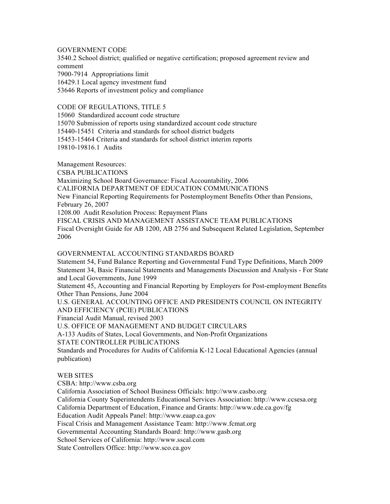## GOVERNMENT CODE

3540.2 School district; qualified or negative certification; proposed agreement review and comment 7900-7914 Appropriations limit 16429.1 Local agency investment fund 53646 Reports of investment policy and compliance

## CODE OF REGULATIONS, TITLE 5

15060 Standardized account code structure 15070 Submission of reports using standardized account code structure 15440-15451 Criteria and standards for school district budgets 15453-15464 Criteria and standards for school district interim reports 19810-19816.1 Audits

Management Resources: CSBA PUBLICATIONS Maximizing School Board Governance: Fiscal Accountability, 2006 CALIFORNIA DEPARTMENT OF EDUCATION COMMUNICATIONS New Financial Reporting Requirements for Postemployment Benefits Other than Pensions, February 26, 2007 1208.00 Audit Resolution Process: Repayment Plans FISCAL CRISIS AND MANAGEMENT ASSISTANCE TEAM PUBLICATIONS Fiscal Oversight Guide for AB 1200, AB 2756 and Subsequent Related Legislation, September 2006

#### GOVERNMENTAL ACCOUNTING STANDARDS BOARD

Statement 54, Fund Balance Reporting and Governmental Fund Type Definitions, March 2009 Statement 34, Basic Financial Statements and Managements Discussion and Analysis - For State and Local Governments, June 1999

Statement 45, Accounting and Financial Reporting by Employers for Post-employment Benefits Other Than Pensions, June 2004

U.S. GENERAL ACCOUNTING OFFICE AND PRESIDENTS COUNCIL ON INTEGRITY AND EFFICIENCY (PCIE) PUBLICATIONS

Financial Audit Manual, revised 2003

U.S. OFFICE OF MANAGEMENT AND BUDGET CIRCULARS

A-133 Audits of States, Local Governments, and Non-Profit Organizations

STATE CONTROLLER PUBLICATIONS

Standards and Procedures for Audits of California K-12 Local Educational Agencies (annual publication)

# WEB SITES

CSBA: http://www.csba.org California Association of School Business Officials: http://www.casbo.org California County Superintendents Educational Services Association: http://www.ccsesa.org California Department of Education, Finance and Grants: http://www.cde.ca.gov/fg Education Audit Appeals Panel: http://www.eaap.ca.gov Fiscal Crisis and Management Assistance Team: http://www.fcmat.org Governmental Accounting Standards Board: http://www.gasb.org School Services of California: http://www.sscal.com State Controllers Office: http://www.sco.ca.gov